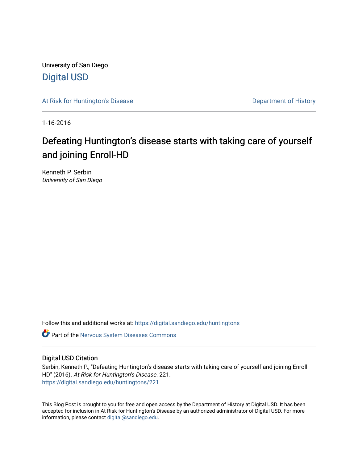University of San Diego [Digital USD](https://digital.sandiego.edu/)

[At Risk for Huntington's Disease](https://digital.sandiego.edu/huntingtons) **Department of History** Department of History

1-16-2016

# Defeating Huntington's disease starts with taking care of yourself and joining Enroll-HD

Kenneth P. Serbin University of San Diego

Follow this and additional works at: [https://digital.sandiego.edu/huntingtons](https://digital.sandiego.edu/huntingtons?utm_source=digital.sandiego.edu%2Fhuntingtons%2F221&utm_medium=PDF&utm_campaign=PDFCoverPages)

**C** Part of the [Nervous System Diseases Commons](http://network.bepress.com/hgg/discipline/928?utm_source=digital.sandiego.edu%2Fhuntingtons%2F221&utm_medium=PDF&utm_campaign=PDFCoverPages)

# Digital USD Citation

Serbin, Kenneth P., "Defeating Huntington's disease starts with taking care of yourself and joining Enroll-HD" (2016). At Risk for Huntington's Disease. 221. [https://digital.sandiego.edu/huntingtons/221](https://digital.sandiego.edu/huntingtons/221?utm_source=digital.sandiego.edu%2Fhuntingtons%2F221&utm_medium=PDF&utm_campaign=PDFCoverPages)

This Blog Post is brought to you for free and open access by the Department of History at Digital USD. It has been accepted for inclusion in At Risk for Huntington's Disease by an authorized administrator of Digital USD. For more information, please contact [digital@sandiego.edu.](mailto:digital@sandiego.edu)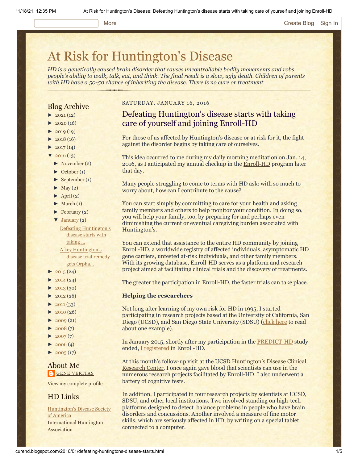## More **[Create Blog](https://www.blogger.com/home#create) [Sign In](https://www.blogger.com/)**

# [At Risk for Huntington's Disease](http://curehd.blogspot.com/)

*HD is a genetically caused brain disorder that causes uncontrollable bodily movements and robs people's ability to walk, talk, eat, and think. The final result is a slow, ugly death. Children of parents with HD have a 50-50 chance of inheriting the disease. There is no cure or treatment.*

## Blog Archive

- $\blacktriangleright$  [2021](http://curehd.blogspot.com/2021/) (12)
- $2020(16)$  $2020(16)$
- $2019(19)$  $2019(19)$
- $\blacktriangleright$  [2018](http://curehd.blogspot.com/2018/) (16)
- $2017(14)$  $2017(14)$
- $2016(13)$  $2016(13)$
- [►](javascript:void(0)) [November](http://curehd.blogspot.com/2016/11/) (2)
- [►](javascript:void(0)) [October](http://curehd.blogspot.com/2016/10/) (1)
- [►](javascript:void(0)) [September](http://curehd.blogspot.com/2016/09/) (1)
- $\blacktriangleright$  [May](http://curehd.blogspot.com/2016/05/) (2)
- $\blacktriangleright$  [April](http://curehd.blogspot.com/2016/04/) (2)
- $\blacktriangleright$  [March](http://curehd.blogspot.com/2016/03/) (1)
- $\blacktriangleright$  [February](http://curehd.blogspot.com/2016/02/) (2)
- [▼](javascript:void(0)) [January](http://curehd.blogspot.com/2016/01/) (2) Defeating [Huntington's](http://curehd.blogspot.com/2016/01/defeating-huntingtons-disease-starts.html) disease starts with taking ... A key [Huntington's](http://curehd.blogspot.com/2016/01/a-key-huntingtons-disease-trial-remedy.html)
- disease trial remedy gets Orpha...
- $\blacktriangleright$  [2015](http://curehd.blogspot.com/2015/) (24)
- $2014(24)$  $2014(24)$
- $-2013(30)$  $-2013(30)$  $-2013(30)$
- $\blacktriangleright$  [2012](http://curehd.blogspot.com/2012/) (26)
- $\blacktriangleright$  [2011](http://curehd.blogspot.com/2011/) (33)
- [►](javascript:void(0)) [2010](http://curehd.blogspot.com/2010/) (26)
- $\blacktriangleright$  [2009](http://curehd.blogspot.com/2009/) (21)
- $-2008(7)$  $-2008(7)$  $-2008(7)$
- $\blacktriangleright$  [2007](http://curehd.blogspot.com/2007/) $(7)$
- $\blacktriangleright$  [2006](http://curehd.blogspot.com/2006/) (4)
- $\blacktriangleright$  [2005](http://curehd.blogspot.com/2005/) (17)

# About Me **GENE [VERITAS](https://www.blogger.com/profile/10911736205741688185)**

View my [complete](https://www.blogger.com/profile/10911736205741688185) profile

# HD Links

[Huntington's](http://www.hdsa.org/) Disease Society of America [International](http://www.huntington-assoc.com/) Huntington **Association** 

#### SATURDAY, JANUARY 16, 2016

# Defeating Huntington's disease starts with taking care of yourself and joining Enroll-HD

For those of us affected by Huntington's disease or at risk for it, the fight against the disorder begins by taking care of ourselves.

This idea occurred to me during my daily morning meditation on Jan. 14, 2016, as I anticipated my annual checkup in the [Enroll-HD](https://www.enroll-hd.org/) program later that day.

Many people struggling to come to terms with HD ask: with so much to worry about, how can I contribute to the cause?

You can start simply by committing to care for your health and asking family members and others to help monitor your condition. In doing so, you will help your family, too, by preparing for and perhaps even diminishing the current or eventual caregiving burden associated with Huntington's.

You can extend that assistance to the entire HD community by joining Enroll-HD, a worldwide registry of affected individuals, asymptomatic HD gene carriers, untested at-risk individuals, and other family members. With its growing database, Enroll-HD serves as a platform and research project aimed at facilitating clinical trials and the discovery of treatments.

The greater the participation in Enroll-HD, the faster trials can take place.

#### **Helping the researchers**

Not long after learning of my own risk for HD in 1995, I started participating in research projects based at the University of California, San Diego (UCSD), and San Diego State University (SDSU) ([click here](http://curehd.blogspot.com/2009/07/great-reasons-to-be-guinea-pig.html) to read about one example).

In January 2015, shortly after my participation in the [PREDICT-HD](http://curehd.blogspot.com/2013/08/predicting-huntingtons-disease-in.html) study ended, [I registered](http://curehd.blogspot.com/2015/01/police-killing-of-man-with-huntingtons.html) in Enroll-HD.

At this month's follow-up visit at the UCSD Huntington's Disease Clinical [Research Center, I once again gave blood that](https://neurosciences.ucsd.edu/centers/huntingtons-disease/Pages/default.aspx) scientists can use in the numerous research projects facilitated by Enroll-HD. I also underwent a battery of cognitive tests.

In addition, I participated in four research projects by scientists at UCSD, SDSU, and other local institutions. Two involved standing on high-tech platforms designed to detect balance problems in people who have brain disorders and concussions. Another involved a measure of fine motor skills, which are seriously affected in HD, by writing on a special tablet connected to a computer.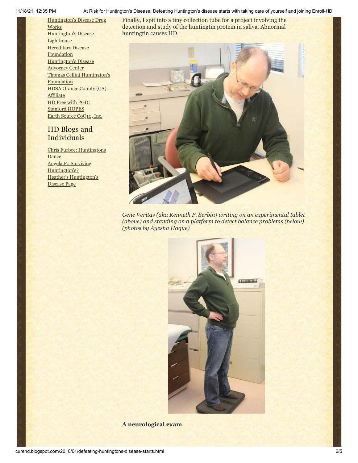11/18/21, 12:35 PM At Risk for Huntington's Disease: Defeating Huntington's disease starts with taking care of yourself and joining Enroll-HD

[Huntington's](http://hddrugworks.org/) Disease Drug **Works** [Huntington's](http://www.hdlighthouse.org/) Disease **Lighthouse Hereditary Disease [Foundation](http://www.hdfoundation.org/)** [Huntington's](http://www.hdac.org/) Disease Advocacy Center Thomas [Cellini Huntington's](http://www.ourtchfoundation.org/) **Foundation** HDSA Orange County (CA) [Affiliate](http://www.hdsaoc.org/) HD Free with [PGD!](http://www.hdfreewithpgd.com/) [Stanford](http://www.stanford.edu/group/hopes/) HOPES Earth Source [CoQ10,](http://www.escoq10.com/) Inc.

# HD Blogs and Individuals

Chris Furbee: [Huntingtons](http://www.huntingtonsdance.org/) Dance Angela F.: Surviving [Huntington's?](http://survivinghuntingtons.blogspot.com/) Heather's [Huntington's](http://heatherdugdale.angelfire.com/) Disease Page

Finally, I spit into a tiny collection tube for a project involving the detection and study of the huntingtin protein in saliva. Abnormal huntingtin causes HD.



*Gene Veritas (aka Kenneth P. Serbin) writing on an experimental tablet (above) and standing on a platform to detect balance problems (below) (photos by Ayesha Haque)*



**A neurological exam**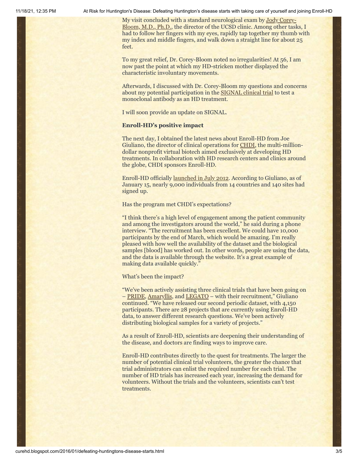11/18/21, 12:35 PM At Risk for Huntington's Disease: Defeating Huntington's disease starts with taking care of yourself and joining Enroll-HD

My visit concluded with a standard neurological exam by **Jody Corey-**Bloom, M.D., Ph.D., the director of the UCSD clinic. Among other tasks, I had to follow her fingers with my eyes, rapidly tap together my thumb with my index and middle fingers, and walk down a straight line for about 25 feet.

To my great relief, Dr. Corey-Bloom noted no irregularities! At 56, I am now past the point at which my HD-stricken mother displayed the characteristic involuntary movements.

Afterwards, I discussed with Dr. Corey-Bloom my questions and concerns about my potential participation in the **SIGNAL** clinical trial to test a monoclonal antibody as an HD treatment.

I will soon provide an update on SIGNAL.

#### **Enroll-HD's positive impact**

The next day, I obtained the latest news about Enroll-HD from Joe Giuliano, the director of clinical operations for [CHDI](http://chdifoundation.org/), the multi-milliondollar nonprofit virtual biotech aimed exclusively at developing HD treatments. In collaboration with HD research centers and clinics around the globe, CHDI sponsors Enroll-HD.

Enroll-HD officially [launched in July 2012](https://www.enroll-hd.org/learn/study-updates/). According to Giuliano, as of January 15, nearly 9,000 individuals from 14 countries and 140 sites had signed up.

Has the program met CHDI's expectations?

"I think there's a high level of engagement among the patient community and among the investigators around the world," he said during a phone interview. "The recruitment has been excellent. We could have 10,000 participants by the end of March, which would be amazing. I'm really pleased with how well the availability of the dataset and the biological samples [blood] has worked out. In other words, people are using the data, and the data is available through the website. It's a great example of making data available quickly."

What's been the impact?

"We've been actively assisting three clinical trials that have been going on – [PRIDE,](http://hdsa.org/news/pride-hd-study-enrolling-patients-globally-to-further-evaluate-pridopidine-for-the-symptomatic-treatment-of-huntingtons-disease/) [Amaryllis](http://www.huntingtonsociety.ca/amaryllis-study/), and [LEGATO](http://hdresearch.ucl.ac.uk/current-studies/legato-hd-the-laquinimod-hd-trial/) – with their recruitment," Giuliano continued. "We have released our second periodic dataset, with 4,150 participants. There are 28 projects that are currently using Enroll-HD data, to answer different research questions. We've been actively distributing biological samples for a variety of projects."

As a result of Enroll-HD, scientists are deepening their understanding of the disease, and doctors are finding ways to improve care.

Enroll-HD contributes directly to the quest for treatments. The larger the number of potential clinical trial volunteers, the greater the chance that trial administrators can enlist the required number for each trial. The number of HD trials has increased each year, increasing the demand for volunteers. Without the trials and the volunteers, scientists can't test treatments.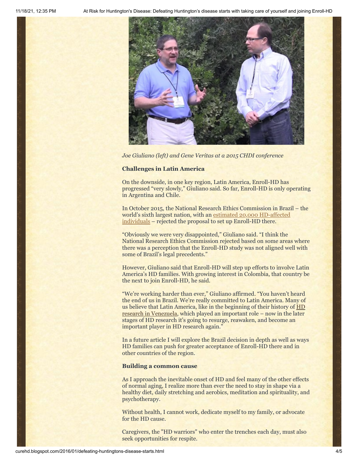

*Joe Giuliano (left) and Gene Veritas at a 2015 CHDI conference*

#### **Challenges in Latin America**

On the downside, in one key region, Latin America, Enroll-HD has progressed "very slowly," Giuliano said. So far, Enroll-HD is only operating in Argentina and Chile.

In October 2015, the National Research Ethics Commission in Brazil – the world's sixth largest [nation, with an estimated 20,000 HD-affected](http://curehd.blogspot.com/2013/04/brazils-big-place-on-huntingtons.html) individuals – rejected the proposal to set up Enroll-HD there.

"Obviously we were very disappointed," Giuliano said. "I think the National Research Ethics Commission rejected based on some areas where there was a perception that the Enroll-HD study was not aligned well with some of Brazil's legal precedents."

However, Giuliano said that Enroll-HD will step up efforts to involve Latin America's HD families. With growing interest in Colombia, that country be the next to join Enroll-HD, he said.

"We're working harder than ever," Giuliano affirmed. "You haven't heard the end of us in Brazil. We're really committed to Latin America. Many of [us believe that Latin America, like in the beginning of their](http://hdfoundation.org/the-venezuela-huntingtons-disease-project/) history of HD research in Venezuela, which played an important role – now in the later stages of HD research it's going to resurge, reawaken, and become an important player in HD research again."

In a future article I will explore the Brazil decision in depth as well as ways HD families can push for greater acceptance of Enroll-HD there and in other countries of the region.

### **Building a common cause**

As I approach the inevitable onset of HD and feel many of the other effects of normal aging, I realize more than ever the need to stay in shape via a healthy diet, daily stretching and aerobics, meditation and spirituality, and psychotherapy.

Without health, I cannot work, dedicate myself to my family, or advocate for the HD cause.

Caregivers, the "HD warriors" who enter the trenches each day, must also seek opportunities for respite.